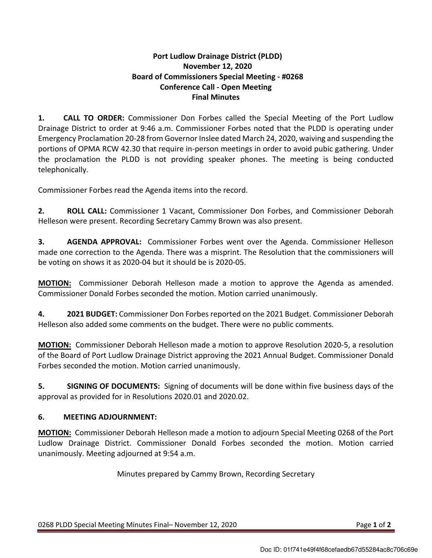## **Port Ludlow Drainage District (PLDD) November 12, 2020 Board of Commissioners Special Meeting - #0268 Conference Call - Open Meeting Final Minutes**

**1. CALL TO ORDER:** Commissioner Don Forbes called the Special Meeting of the Port Ludlow Drainage District to order at 9:46 a.m. Commissioner Forbes noted that the PLDD is operating under Emergency Proclamation 20-28 from Governor Inslee dated March 24, 2020, waiving and suspending the portions of OPMA RCW 42.30 that require in-person meetings in order to avoid pubic gathering. Under the proclamation the PLDD is not providing speaker phones. The meeting is being conducted telephonically.

Commissioner Forbes read the Agenda items into the record.

**2. ROLL CALL:** Commissioner 1 Vacant, Commissioner Don Forbes, and Commissioner Deborah Helleson were present. Recording Secretary Cammy Brown was also present.

**3. AGENDA APPROVAL:** Commissioner Forbes went over the Agenda. Commissioner Helleson made one correction to the Agenda. There was a misprint. The Resolution that the commissioners will be voting on shows it as 2020-04 but it should be is 2020-05.

**MOTION:** Commissioner Deborah Helleson made a motion to approve the Agenda as amended. Commissioner Donald Forbes seconded the motion. Motion carried unanimously.

**4. 2021 BUDGET:** Commissioner Don Forbes reported on the 2021 Budget. Commissioner Deborah Helleson also added some comments on the budget. There were no public comments.

**MOTION:** Commissioner Deborah Helleson made a motion to approve Resolution 2020-5, a resolution of the Board of Port Ludlow Drainage District approving the 2021 Annual Budget. Commissioner Donald Forbes seconded the motion. Motion carried unanimously.

**5.** SIGNING OF DOCUMENTS: Signing of documents will be done within five business days of the approval as provided for in Resolutions 2020.01 and 2020.02.

## **6. MEETING ADJOURNMENT:**

**MOTION:** Commissioner Deborah Helleson made a motion to adjourn Special Meeting 0268 of the Port Ludlow Drainage District. Commissioner Donald Forbes seconded the motion. Motion carried unanimously. Meeting adjourned at 9:54 a.m.

Minutes prepared by Cammy Brown, Recording Secretary